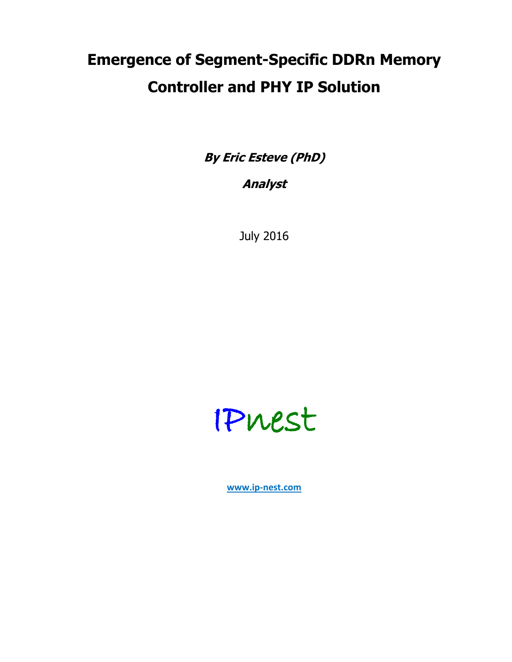# **Emergence of Segment-Specific DDRn Memory Controller and PHY IP Solution**

**By Eric Esteve (PhD)**

**Analyst**

July 2016



**www.ip-nest.com**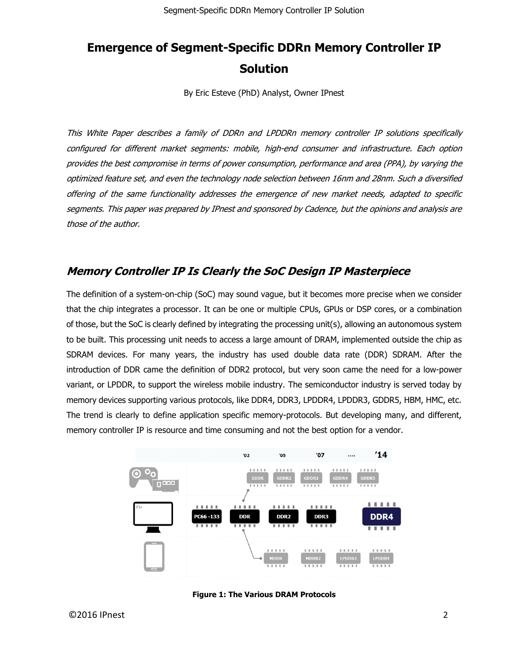# **Emergence of Segment-Specific DDRn Memory Controller IP Solution**

By Eric Esteve (PhD) Analyst, Owner IPnest

This White Paper describes a family of DDRn and LPDDRn memory controller IP solutions specifically configured for different market segments: mobile, high-end consumer and infrastructure. Each option provides the best compromise in terms of power consumption, performance and area (PPA), by varying the optimized feature set, and even the technology node selection between 16nm and 28nm. Such a diversified offering of the same functionality addresses the emergence of new market needs, adapted to specific segments. This paper was prepared by IPnest and sponsored by Cadence, but the opinions and analysis are those of the author.

# **Memory Controller IP Is Clearly the SoC Design IP Masterpiece**

The definition of a system-on-chip (SoC) may sound vague, but it becomes more precise when we consider that the chip integrates a processor. It can be one or multiple CPUs, GPUs or DSP cores, or a combination of those, but the SoC is clearly defined by integrating the processing unit(s), allowing an autonomous system to be built. This processing unit needs to access a large amount of DRAM, implemented outside the chip as SDRAM devices. For many years, the industry has used double data rate (DDR) SDRAM. After the introduction of DDR came the definition of DDR2 protocol, but very soon came the need for a low-power variant, or LPDDR, to support the wireless mobile industry. The semiconductor industry is served today by memory devices supporting various protocols, like DDR4, DDR3, LPDDR4, LPDDR3, GDDR5, HBM, HMC, etc. The trend is clearly to define application specific memory-protocols. But developing many, and different, memory controller IP is resource and time consuming and not the best option for a vendor.



**Figure 1: The Various DRAM Protocols**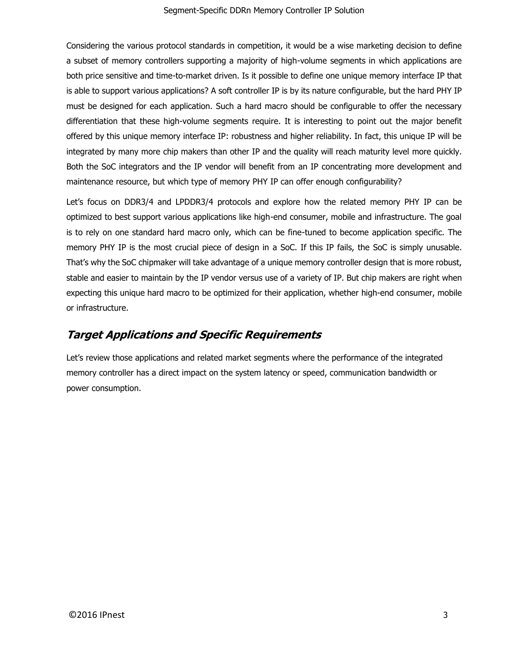Considering the various protocol standards in competition, it would be a wise marketing decision to define a subset of memory controllers supporting a majority of high-volume segments in which applications are both price sensitive and time-to-market driven. Is it possible to define one unique memory interface IP that is able to support various applications? A soft controller IP is by its nature configurable, but the hard PHY IP must be designed for each application. Such a hard macro should be configurable to offer the necessary differentiation that these high-volume segments require. It is interesting to point out the major benefit offered by this unique memory interface IP: robustness and higher reliability. In fact, this unique IP will be integrated by many more chip makers than other IP and the quality will reach maturity level more quickly. Both the SoC integrators and the IP vendor will benefit from an IP concentrating more development and maintenance resource, but which type of memory PHY IP can offer enough configurability?

Let's focus on DDR3/4 and LPDDR3/4 protocols and explore how the related memory PHY IP can be optimized to best support various applications like high-end consumer, mobile and infrastructure. The goal is to rely on one standard hard macro only, which can be fine-tuned to become application specific. The memory PHY IP is the most crucial piece of design in a SoC. If this IP fails, the SoC is simply unusable. That's why the SoC chipmaker will take advantage of a unique memory controller design that is more robust, stable and easier to maintain by the IP vendor versus use of a variety of IP. But chip makers are right when expecting this unique hard macro to be optimized for their application, whether high-end consumer, mobile or infrastructure.

# **Target Applications and Specific Requirements**

Let's review those applications and related market segments where the performance of the integrated memory controller has a direct impact on the system latency or speed, communication bandwidth or power consumption.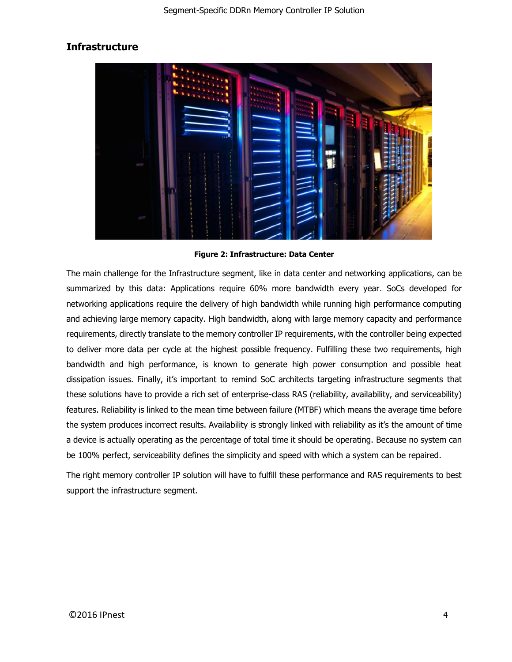# **Infrastructure**



**Figure 2: Infrastructure: Data Center**

The main challenge for the Infrastructure segment, like in data center and networking applications, can be summarized by this data: Applications require 60% more bandwidth every year. SoCs developed for networking applications require the delivery of high bandwidth while running high performance computing and achieving large memory capacity. High bandwidth, along with large memory capacity and performance requirements, directly translate to the memory controller IP requirements, with the controller being expected to deliver more data per cycle at the highest possible frequency. Fulfilling these two requirements, high bandwidth and high performance, is known to generate high power consumption and possible heat dissipation issues. Finally, it's important to remind SoC architects targeting infrastructure segments that these solutions have to provide a rich set of enterprise-class RAS (reliability, availability, and serviceability) features. Reliability is linked to the mean time between failure (MTBF) which means the average time before the system produces incorrect results. Availability is strongly linked with reliability as it's the amount of time a device is actually operating as the percentage of total time it should be operating. Because no system can be 100% perfect, serviceability defines the simplicity and speed with which a system can be repaired.

The right memory controller IP solution will have to fulfill these performance and RAS requirements to best support the infrastructure segment.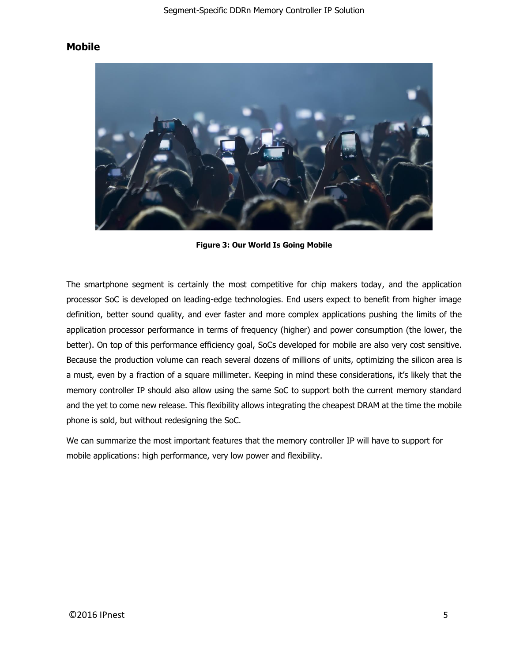### **Mobile**



**Figure 3: Our World Is Going Mobile** 

The smartphone segment is certainly the most competitive for chip makers today, and the application processor SoC is developed on leading-edge technologies. End users expect to benefit from higher image definition, better sound quality, and ever faster and more complex applications pushing the limits of the application processor performance in terms of frequency (higher) and power consumption (the lower, the better). On top of this performance efficiency goal, SoCs developed for mobile are also very cost sensitive. Because the production volume can reach several dozens of millions of units, optimizing the silicon area is a must, even by a fraction of a square millimeter. Keeping in mind these considerations, it's likely that the memory controller IP should also allow using the same SoC to support both the current memory standard and the yet to come new release. This flexibility allows integrating the cheapest DRAM at the time the mobile phone is sold, but without redesigning the SoC.

We can summarize the most important features that the memory controller IP will have to support for mobile applications: high performance, very low power and flexibility.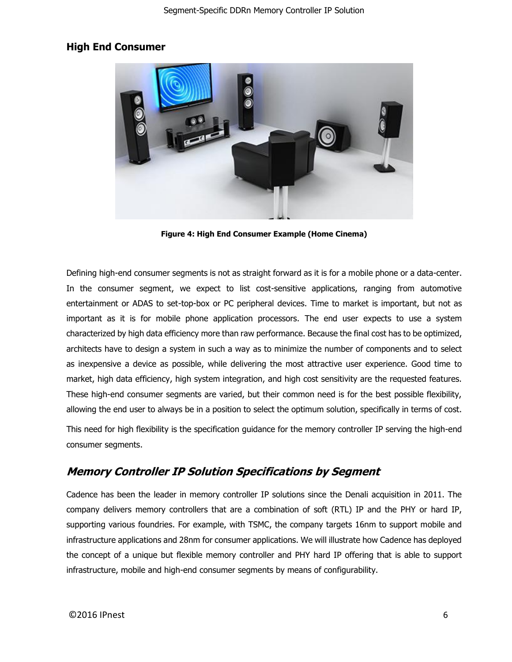### **High End Consumer**



**Figure 4: High End Consumer Example (Home Cinema)**

Defining high-end consumer segments is not as straight forward as it is for a mobile phone or a data-center. In the consumer segment, we expect to list cost-sensitive applications, ranging from automotive entertainment or ADAS to set-top-box or PC peripheral devices. Time to market is important, but not as important as it is for mobile phone application processors. The end user expects to use a system characterized by high data efficiency more than raw performance. Because the final cost has to be optimized, architects have to design a system in such a way as to minimize the number of components and to select as inexpensive a device as possible, while delivering the most attractive user experience. Good time to market, high data efficiency, high system integration, and high cost sensitivity are the requested features. These high-end consumer segments are varied, but their common need is for the best possible flexibility, allowing the end user to always be in a position to select the optimum solution, specifically in terms of cost.

This need for high flexibility is the specification guidance for the memory controller IP serving the high-end consumer segments.

# **Memory Controller IP Solution Specifications by Segment**

Cadence has been the leader in memory controller IP solutions since the Denali acquisition in 2011. The company delivers memory controllers that are a combination of soft (RTL) IP and the PHY or hard IP, supporting various foundries. For example, with TSMC, the company targets 16nm to support mobile and infrastructure applications and 28nm for consumer applications. We will illustrate how Cadence has deployed the concept of a unique but flexible memory controller and PHY hard IP offering that is able to support infrastructure, mobile and high-end consumer segments by means of configurability.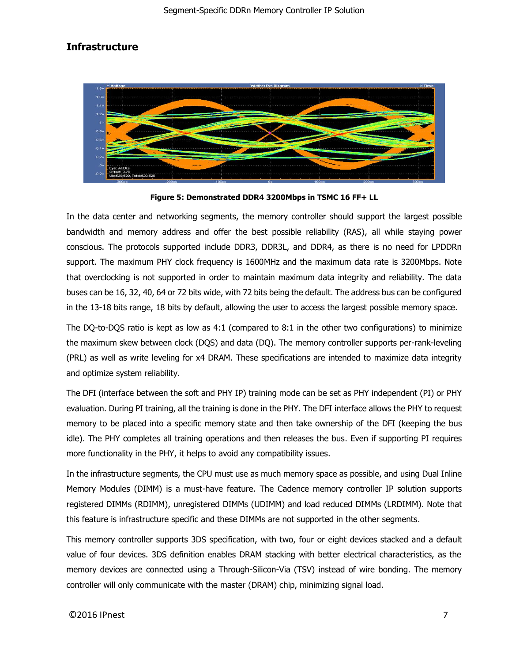# **Infrastructure**



**Figure 5: Demonstrated DDR4 3200Mbps in TSMC 16 FF+ LL**

In the data center and networking segments, the memory controller should support the largest possible bandwidth and memory address and offer the best possible reliability (RAS), all while staying power conscious. The protocols supported include DDR3, DDR3L, and DDR4, as there is no need for LPDDRn support. The maximum PHY clock frequency is 1600MHz and the maximum data rate is 3200Mbps. Note that overclocking is not supported in order to maintain maximum data integrity and reliability. The data buses can be 16, 32, 40, 64 or 72 bits wide, with 72 bits being the default. The address bus can be configured in the 13-18 bits range, 18 bits by default, allowing the user to access the largest possible memory space.

The DQ-to-DQS ratio is kept as low as 4:1 (compared to 8:1 in the other two configurations) to minimize the maximum skew between clock (DQS) and data (DQ). The memory controller supports per-rank-leveling (PRL) as well as write leveling for x4 DRAM. These specifications are intended to maximize data integrity and optimize system reliability.

The DFI (interface between the soft and PHY IP) training mode can be set as PHY independent (PI) or PHY evaluation. During PI training, all the training is done in the PHY. The DFI interface allows the PHY to request memory to be placed into a specific memory state and then take ownership of the DFI (keeping the bus idle). The PHY completes all training operations and then releases the bus. Even if supporting PI requires more functionality in the PHY, it helps to avoid any compatibility issues.

In the infrastructure segments, the CPU must use as much memory space as possible, and using Dual Inline Memory Modules (DIMM) is a must-have feature. The Cadence memory controller IP solution supports registered DIMMs (RDIMM), unregistered DIMMs (UDIMM) and load reduced DIMMs (LRDIMM). Note that this feature is infrastructure specific and these DIMMs are not supported in the other segments.

This memory controller supports 3DS specification, with two, four or eight devices stacked and a default value of four devices. 3DS definition enables DRAM stacking with better electrical characteristics, as the memory devices are connected using a Through-Silicon-Via (TSV) instead of wire bonding. The memory controller will only communicate with the master (DRAM) chip, minimizing signal load.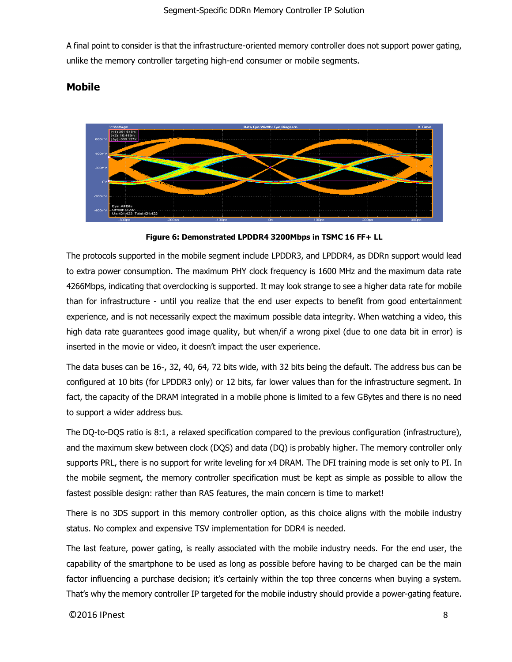A final point to consider is that the infrastructure-oriented memory controller does not support power gating, unlike the memory controller targeting high-end consumer or mobile segments.

### **Mobile**



**Figure 6: Demonstrated LPDDR4 3200Mbps in TSMC 16 FF+ LL**

The protocols supported in the mobile segment include LPDDR3, and LPDDR4, as DDRn support would lead to extra power consumption. The maximum PHY clock frequency is 1600 MHz and the maximum data rate 4266Mbps, indicating that overclocking is supported. It may look strange to see a higher data rate for mobile than for infrastructure - until you realize that the end user expects to benefit from good entertainment experience, and is not necessarily expect the maximum possible data integrity. When watching a video, this high data rate guarantees good image quality, but when/if a wrong pixel (due to one data bit in error) is inserted in the movie or video, it doesn't impact the user experience.

The data buses can be 16-, 32, 40, 64, 72 bits wide, with 32 bits being the default. The address bus can be configured at 10 bits (for LPDDR3 only) or 12 bits, far lower values than for the infrastructure segment. In fact, the capacity of the DRAM integrated in a mobile phone is limited to a few GBytes and there is no need to support a wider address bus.

The DQ-to-DQS ratio is 8:1, a relaxed specification compared to the previous configuration (infrastructure), and the maximum skew between clock (DQS) and data (DQ) is probably higher. The memory controller only supports PRL, there is no support for write leveling for x4 DRAM. The DFI training mode is set only to PI. In the mobile segment, the memory controller specification must be kept as simple as possible to allow the fastest possible design: rather than RAS features, the main concern is time to market!

There is no 3DS support in this memory controller option, as this choice aligns with the mobile industry status. No complex and expensive TSV implementation for DDR4 is needed.

The last feature, power gating, is really associated with the mobile industry needs. For the end user, the capability of the smartphone to be used as long as possible before having to be charged can be the main factor influencing a purchase decision; it's certainly within the top three concerns when buying a system. That's why the memory controller IP targeted for the mobile industry should provide a power-gating feature.

#### $\bigcirc$ 2016 IPnest 8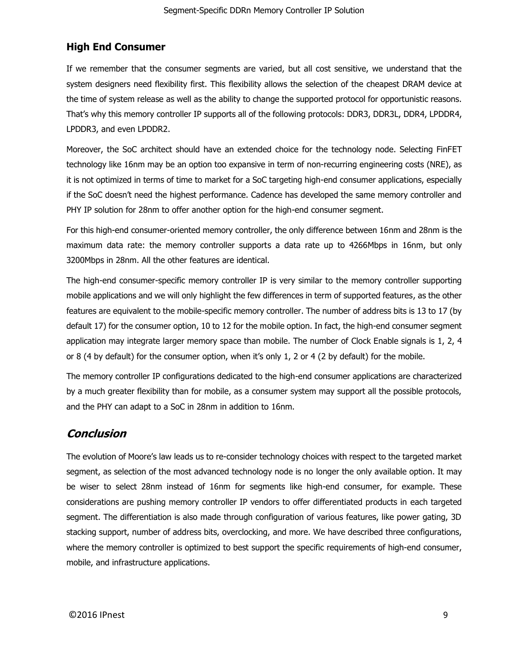# **High End Consumer**

If we remember that the consumer segments are varied, but all cost sensitive, we understand that the system designers need flexibility first. This flexibility allows the selection of the cheapest DRAM device at the time of system release as well as the ability to change the supported protocol for opportunistic reasons. That's why this memory controller IP supports all of the following protocols: DDR3, DDR3L, DDR4, LPDDR4, LPDDR3, and even LPDDR2.

Moreover, the SoC architect should have an extended choice for the technology node. Selecting FinFET technology like 16nm may be an option too expansive in term of non-recurring engineering costs (NRE), as it is not optimized in terms of time to market for a SoC targeting high-end consumer applications, especially if the SoC doesn't need the highest performance. Cadence has developed the same memory controller and PHY IP solution for 28nm to offer another option for the high-end consumer segment.

For this high-end consumer-oriented memory controller, the only difference between 16nm and 28nm is the maximum data rate: the memory controller supports a data rate up to 4266Mbps in 16nm, but only 3200Mbps in 28nm. All the other features are identical.

The high-end consumer-specific memory controller IP is very similar to the memory controller supporting mobile applications and we will only highlight the few differences in term of supported features, as the other features are equivalent to the mobile-specific memory controller. The number of address bits is 13 to 17 (by default 17) for the consumer option, 10 to 12 for the mobile option. In fact, the high-end consumer segment application may integrate larger memory space than mobile. The number of Clock Enable signals is 1, 2, 4 or 8 (4 by default) for the consumer option, when it's only 1, 2 or 4 (2 by default) for the mobile.

The memory controller IP configurations dedicated to the high-end consumer applications are characterized by a much greater flexibility than for mobile, as a consumer system may support all the possible protocols, and the PHY can adapt to a SoC in 28nm in addition to 16nm.

# **Conclusion**

The evolution of Moore's law leads us to re-consider technology choices with respect to the targeted market segment, as selection of the most advanced technology node is no longer the only available option. It may be wiser to select 28nm instead of 16nm for segments like high-end consumer, for example. These considerations are pushing memory controller IP vendors to offer differentiated products in each targeted segment. The differentiation is also made through configuration of various features, like power gating, 3D stacking support, number of address bits, overclocking, and more. We have described three configurations, where the memory controller is optimized to best support the specific requirements of high-end consumer, mobile, and infrastructure applications.